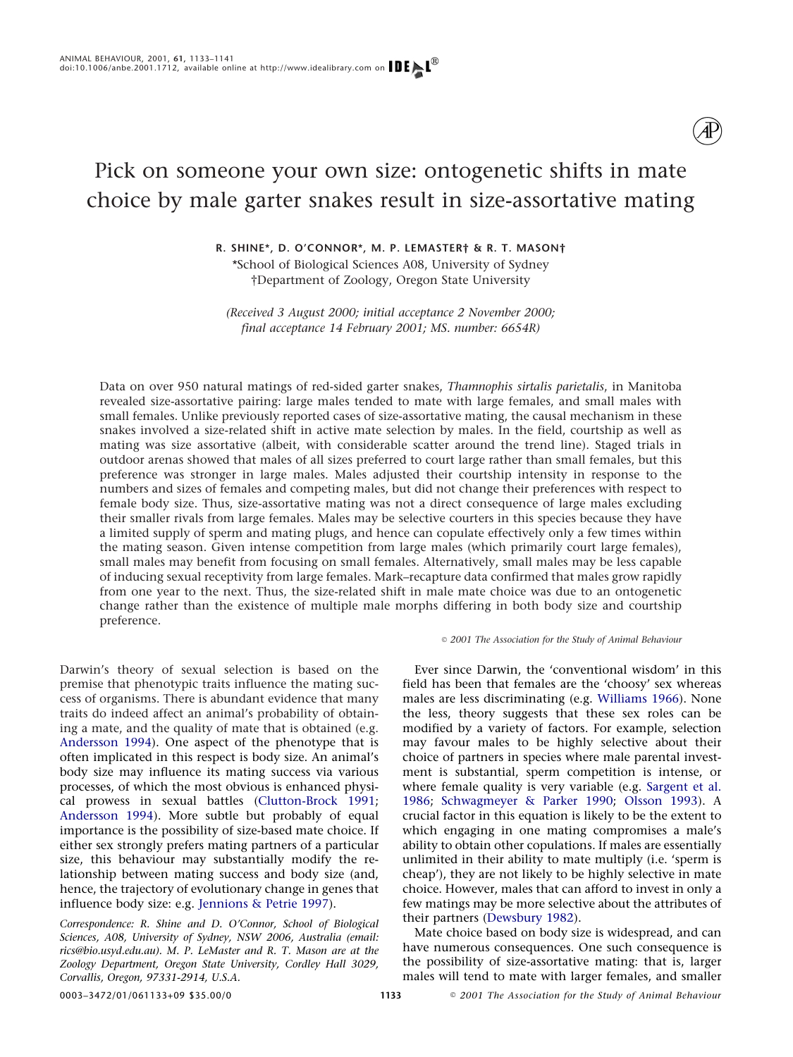# Pick on someone your own size: ontogenetic shifts in mate choice by male garter snakes result in size-assortative mating

# **R. SHINE\*, D. O'CONNOR\*, M. P. LEMASTER† & R. T. MASON†** \*School of Biological Sciences A08, University of Sydney

†Department of Zoology, Oregon State University

*(Received 3 August 2000; initial acceptance 2 November 2000; final acceptance 14 February 2001; MS. number: 6654R)*

Data on over 950 natural matings of red-sided garter snakes, *Thamnophis sirtalis parietalis*, in Manitoba revealed size-assortative pairing: large males tended to mate with large females, and small males with small females. Unlike previously reported cases of size-assortative mating, the causal mechanism in these snakes involved a size-related shift in active mate selection by males. In the field, courtship as well as mating was size assortative (albeit, with considerable scatter around the trend line). Staged trials in outdoor arenas showed that males of all sizes preferred to court large rather than small females, but this preference was stronger in large males. Males adjusted their courtship intensity in response to the numbers and sizes of females and competing males, but did not change their preferences with respect to female body size. Thus, size-assortative mating was not a direct consequence of large males excluding their smaller rivals from large females. Males may be selective courters in this species because they have a limited supply of sperm and mating plugs, and hence can copulate effectively only a few times within the mating season. Given intense competition from large males (which primarily court large females), small males may benefit from focusing on small females. Alternatively, small males may be less capable of inducing sexual receptivity from large females. Mark–recapture data confirmed that males grow rapidly from one year to the next. Thus, the size-related shift in male mate choice was due to an ontogenetic change rather than the existence of multiple male morphs differing in both body size and courtship preference.

Darwin's theory of sexual selection is based on the premise that phenotypic traits influence the mating success of organisms. There is abundant evidence that many traits do indeed affect an animal's probability of obtaining a mate, and the quality of mate that is obtained (e.g. [Andersson 1994\)](#page-7-0). One aspect of the phenotype that is often implicated in this respect is body size. An animal's body size may influence its mating success via various processes, of which the most obvious is enhanced physical prowess in sexual battles [\(Clutton-Brock 1991;](#page-7-1) [Andersson 1994\)](#page-7-0). More subtle but probably of equal importance is the possibility of size-based mate choice. If either sex strongly prefers mating partners of a particular size, this behaviour may substantially modify the relationship between mating success and body size (and, hence, the trajectory of evolutionary change in genes that influence body size: e.g. [Jennions & Petrie 1997\)](#page-7-2).

*Correspondence: R. Shine and D. O'Connor, School of Biological Sciences, A08, University of Sydney, NSW 2006, Australia (email: rics@bio.usyd.edu.au). M. P. LeMaster and R. T. Mason are at the Zoology Department, Oregon State University, Cordley Hall 3029, Corvallis, Oregon, 97331-2914, U.S.A.*

### *2001 The Association for the Study of Animal Behaviour*

Ever since Darwin, the 'conventional wisdom' in this field has been that females are the 'choosy' sex whereas males are less discriminating (e.g. [Williams 1966\)](#page-8-0). None the less, theory suggests that these sex roles can be modified by a variety of factors. For example, selection may favour males to be highly selective about their choice of partners in species where male parental investment is substantial, sperm competition is intense, or where female quality is very variable (e.g. [Sargent et al.](#page-8-1) [1986;](#page-8-1) [Schwagmeyer & Parker 1990;](#page-8-2) [Olsson 1993\)](#page-7-3). A crucial factor in this equation is likely to be the extent to which engaging in one mating compromises a male's ability to obtain other copulations. If males are essentially unlimited in their ability to mate multiply (i.e. 'sperm is cheap'), they are not likely to be highly selective in mate choice. However, males that can afford to invest in only a few matings may be more selective about the attributes of their partners [\(Dewsbury 1982\)](#page-7-4).

Mate choice based on body size is widespread, and can have numerous consequences. One such consequence is the possibility of size-assortative mating: that is, larger males will tend to mate with larger females, and smaller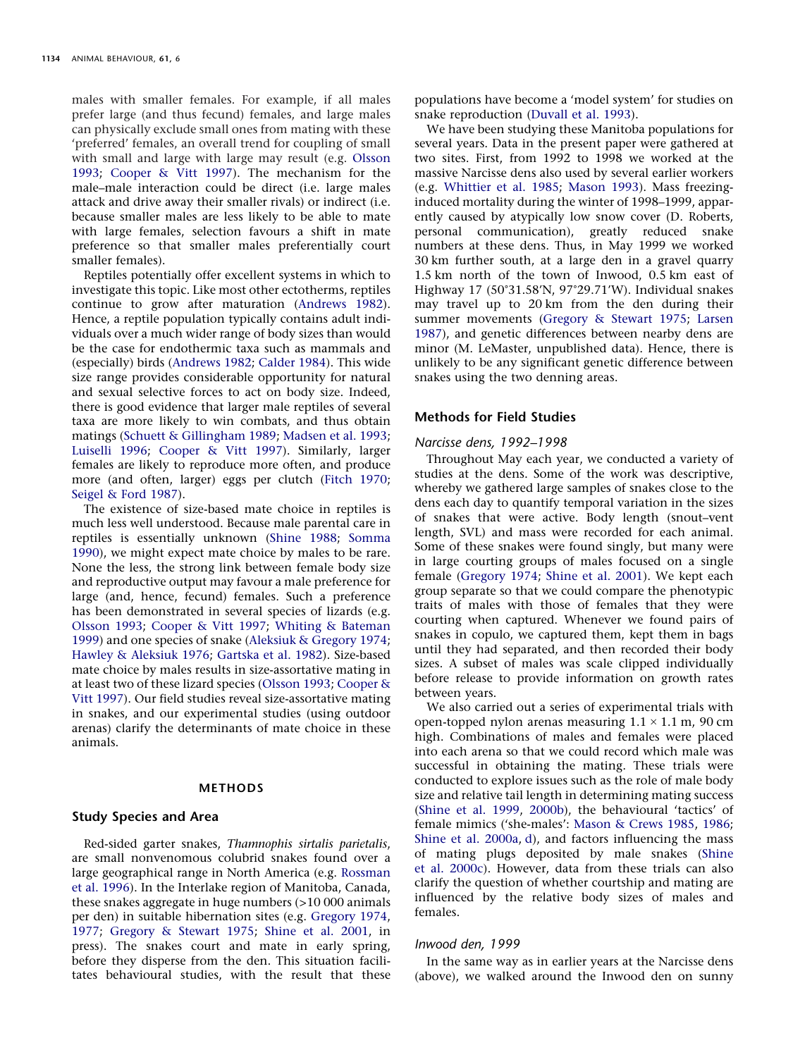males with smaller females. For example, if all males prefer large (and thus fecund) females, and large males can physically exclude small ones from mating with these 'preferred' females, an overall trend for coupling of small with small and large with large may result (e.g. [Olsson](#page-7-3) [1993;](#page-7-3) [Cooper & Vitt 1997\)](#page-7-5). The mechanism for the male–male interaction could be direct (i.e. large males attack and drive away their smaller rivals) or indirect (i.e. because smaller males are less likely to be able to mate with large females, selection favours a shift in mate preference so that smaller males preferentially court smaller females).

Reptiles potentially offer excellent systems in which to investigate this topic. Like most other ectotherms, reptiles continue to grow after maturation [\(Andrews 1982\)](#page-7-6). Hence, a reptile population typically contains adult individuals over a much wider range of body sizes than would be the case for endothermic taxa such as mammals and (especially) birds [\(Andrews 1982;](#page-7-6) [Calder 1984\)](#page-7-7). This wide size range provides considerable opportunity for natural and sexual selective forces to act on body size. Indeed, there is good evidence that larger male reptiles of several taxa are more likely to win combats, and thus obtain matings [\(Schuett & Gillingham 1989;](#page-8-3) [Madsen et al. 1993;](#page-7-8) [Luiselli 1996;](#page-7-9) [Cooper & Vitt 1997\)](#page-7-5). Similarly, larger females are likely to reproduce more often, and produce more (and often, larger) eggs per clutch [\(Fitch 1970;](#page-7-10) [Seigel & Ford 1987\)](#page-8-4).

The existence of size-based mate choice in reptiles is much less well understood. Because male parental care in reptiles is essentially unknown [\(Shine 1988;](#page-8-5) [Somma](#page-8-6) [1990\)](#page-8-6), we might expect mate choice by males to be rare. None the less, the strong link between female body size and reproductive output may favour a male preference for large (and, hence, fecund) females. Such a preference has been demonstrated in several species of lizards (e.g. [Olsson 1993;](#page-7-3) [Cooper & Vitt 1997;](#page-7-5) [Whiting & Bateman](#page-8-7) [1999\)](#page-8-7) and one species of snake [\(Aleksiuk & Gregory 1974;](#page-7-11) [Hawley & Aleksiuk 1976;](#page-7-12) [Gartska et al. 1982\)](#page-7-13). Size-based mate choice by males results in size-assortative mating in at least two of these lizard species [\(Olsson 1993;](#page-7-3) [Cooper &](#page-7-5) [Vitt 1997\)](#page-7-5). Our field studies reveal size-assortative mating in snakes, and our experimental studies (using outdoor arenas) clarify the determinants of mate choice in these animals.

#### **METHODS**

# **Study Species and Area**

Red-sided garter snakes, *Thamnophis sirtalis parietalis*, are small nonvenomous colubrid snakes found over a large geographical range in North America (e.g. [Rossman](#page-8-8) [et al. 1996\)](#page-8-8). In the Interlake region of Manitoba, Canada, these snakes aggregate in huge numbers (>10 000 animals per den) in suitable hibernation sites (e.g. [Gregory 1974,](#page-7-14) [1977;](#page-7-15) [Gregory & Stewart 1975;](#page-7-16) [Shine et al. 2001,](#page-8-9) in press). The snakes court and mate in early spring, before they disperse from the den. This situation facilitates behavioural studies, with the result that these populations have become a 'model system' for studies on snake reproduction [\(Duvall et al. 1993\)](#page-7-17).

We have been studying these Manitoba populations for several years. Data in the present paper were gathered at two sites. First, from 1992 to 1998 we worked at the massive Narcisse dens also used by several earlier workers (e.g. [Whittier et al. 1985;](#page-8-10) [Mason 1993\)](#page-7-18). Mass freezinginduced mortality during the winter of 1998–1999, apparently caused by atypically low snow cover (D. Roberts, personal communication), greatly reduced snake numbers at these dens. Thus, in May 1999 we worked 30 km further south, at a large den in a gravel quarry 1.5 km north of the town of Inwood, 0.5 km east of Highway 17 (50°31.58′N, 97°29.71′W). Individual snakes may travel up to 20 km from the den during their summer movements [\(Gregory & Stewart 1975;](#page-7-16) [Larsen](#page-7-19) [1987\)](#page-7-19), and genetic differences between nearby dens are minor (M. LeMaster, unpublished data). Hence, there is unlikely to be any significant genetic difference between snakes using the two denning areas.

## **Methods for Field Studies**

# *Narcisse dens, 1992–1998*

Throughout May each year, we conducted a variety of studies at the dens. Some of the work was descriptive, whereby we gathered large samples of snakes close to the dens each day to quantify temporal variation in the sizes of snakes that were active. Body length (snout–vent length, SVL) and mass were recorded for each animal. Some of these snakes were found singly, but many were in large courting groups of males focused on a single female [\(Gregory 1974;](#page-7-14) [Shine et al. 2001\)](#page-8-11). We kept each group separate so that we could compare the phenotypic traits of males with those of females that they were courting when captured. Whenever we found pairs of snakes in copulo, we captured them, kept them in bags until they had separated, and then recorded their body sizes. A subset of males was scale clipped individually before release to provide information on growth rates between years.

We also carried out a series of experimental trials with open-topped nylon arenas measuring  $1.1 \times 1.1$  m, 90 cm high. Combinations of males and females were placed into each arena so that we could record which male was successful in obtaining the mating. These trials were conducted to explore issues such as the role of male body size and relative tail length in determining mating success [\(Shine et al. 1999,](#page-8-12) [2000b\)](#page-8-13), the behavioural 'tactics' of female mimics ('she-males': [Mason & Crews 1985,](#page-7-20) [1986;](#page-7-21) [Shine et al. 2000a,](#page-8-14) [d\)](#page-8-15), and factors influencing the mass of mating plugs deposited by male snakes [\(Shine](#page-8-16) [et al. 2000c\)](#page-8-16). However, data from these trials can also clarify the question of whether courtship and mating are influenced by the relative body sizes of males and females.

### *Inwood den, 1999*

In the same way as in earlier years at the Narcisse dens (above), we walked around the Inwood den on sunny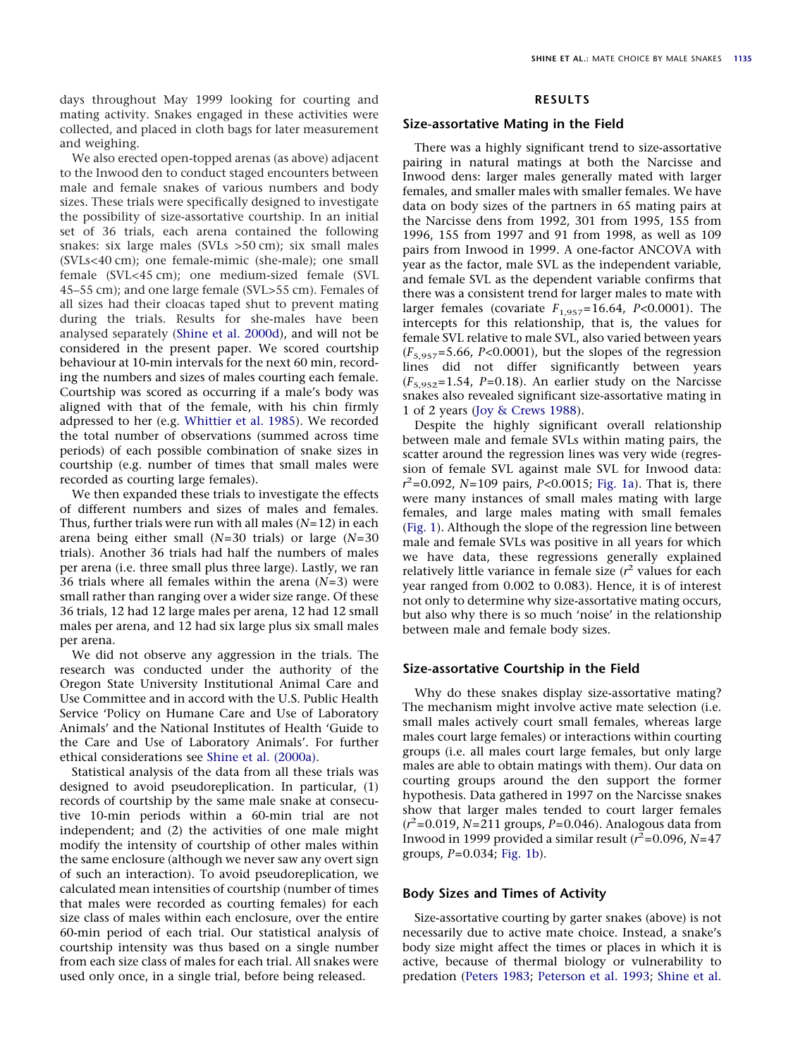days throughout May 1999 looking for courting and mating activity. Snakes engaged in these activities were collected, and placed in cloth bags for later measurement and weighing.

We also erected open-topped arenas (as above) adjacent to the Inwood den to conduct staged encounters between male and female snakes of various numbers and body sizes. These trials were specifically designed to investigate the possibility of size-assortative courtship. In an initial set of 36 trials, each arena contained the following snakes: six large males (SVLs >50 cm); six small males (SVLs<40 cm); one female-mimic (she-male); one small female (SVL<45 cm); one medium-sized female (SVL 45–55 cm); and one large female (SVL>55 cm). Females of all sizes had their cloacas taped shut to prevent mating during the trials. Results for she-males have been analysed separately [\(Shine et al. 2000d\)](#page-8-15), and will not be considered in the present paper. We scored courtship behaviour at 10-min intervals for the next 60 min, recording the numbers and sizes of males courting each female. Courtship was scored as occurring if a male's body was aligned with that of the female, with his chin firmly adpressed to her (e.g. [Whittier et al. 1985\)](#page-8-10). We recorded the total number of observations (summed across time periods) of each possible combination of snake sizes in courtship (e.g. number of times that small males were recorded as courting large females).

We then expanded these trials to investigate the effects of different numbers and sizes of males and females. Thus, further trials were run with all males (*N*=12) in each arena being either small (*N*=30 trials) or large (*N*=30 trials). Another 36 trials had half the numbers of males per arena (i.e. three small plus three large). Lastly, we ran 36 trials where all females within the arena (*N*=3) were small rather than ranging over a wider size range. Of these 36 trials, 12 had 12 large males per arena, 12 had 12 small males per arena, and 12 had six large plus six small males per arena.

We did not observe any aggression in the trials. The research was conducted under the authority of the Oregon State University Institutional Animal Care and Use Committee and in accord with the U.S. Public Health Service 'Policy on Humane Care and Use of Laboratory Animals' and the National Institutes of Health 'Guide to the Care and Use of Laboratory Animals'. For further ethical considerations see [Shine et al. \(2000a\).](#page-8-14)

Statistical analysis of the data from all these trials was designed to avoid pseudoreplication. In particular, (1) records of courtship by the same male snake at consecutive 10-min periods within a 60-min trial are not independent; and (2) the activities of one male might modify the intensity of courtship of other males within the same enclosure (although we never saw any overt sign of such an interaction). To avoid pseudoreplication, we calculated mean intensities of courtship (number of times that males were recorded as courting females) for each size class of males within each enclosure, over the entire 60-min period of each trial. Our statistical analysis of courtship intensity was thus based on a single number from each size class of males for each trial. All snakes were used only once, in a single trial, before being released.

# **RESULTS**

# **Size-assortative Mating in the Field**

There was a highly significant trend to size-assortative pairing in natural matings at both the Narcisse and Inwood dens: larger males generally mated with larger females, and smaller males with smaller females. We have data on body sizes of the partners in 65 mating pairs at the Narcisse dens from 1992, 301 from 1995, 155 from 1996, 155 from 1997 and 91 from 1998, as well as 109 pairs from Inwood in 1999. A one-factor ANCOVA with year as the factor, male SVL as the independent variable, and female SVL as the dependent variable confirms that there was a consistent trend for larger males to mate with larger females (covariate  $F_{1.957}=16.64$ ,  $P<0.0001$ ). The intercepts for this relationship, that is, the values for female SVL relative to male SVL, also varied between years (*F*5,957=5.66, *P<*0.0001), but the slopes of the regression lines did not differ significantly between years  $(F_{5,952}=1.54, P=0.18)$ . An earlier study on the Narcisse snakes also revealed significant size-assortative mating in 1 of 2 years [\(Joy & Crews 1988\)](#page-7-22).

Despite the highly significant overall relationship between male and female SVLs within mating pairs, the scatter around the regression lines was very wide (regression of female SVL against male SVL for Inwood data: *r* 2 =0.092, *N*=109 pairs, *P<*0.0015; [Fig. 1a\)](#page-3-0). That is, there were many instances of small males mating with large females, and large males mating with small females [\(Fig. 1\)](#page-3-0). Although the slope of the regression line between male and female SVLs was positive in all years for which we have data, these regressions generally explained relatively little variance in female size (*r* <sup>2</sup> values for each year ranged from 0.002 to 0.083). Hence, it is of interest not only to determine why size-assortative mating occurs, but also why there is so much 'noise' in the relationship between male and female body sizes.

## **Size-assortative Courtship in the Field**

Why do these snakes display size-assortative mating? The mechanism might involve active mate selection (i.e. small males actively court small females, whereas large males court large females) or interactions within courting groups (i.e. all males court large females, but only large males are able to obtain matings with them). Our data on courting groups around the den support the former hypothesis. Data gathered in 1997 on the Narcisse snakes show that larger males tended to court larger females (*r* 2 =0.019, *N*=211 groups, *P*=0.046). Analogous data from Inwood in 1999 provided a similar result ( $r^2$ =0.096, *N*=47 groups, *P*=0.034; [Fig. 1b\)](#page-3-0).

# **Body Sizes and Times of Activity**

Size-assortative courting by garter snakes (above) is not necessarily due to active mate choice. Instead, a snake's body size might affect the times or places in which it is active, because of thermal biology or vulnerability to predation [\(Peters 1983;](#page-7-23) [Peterson et al. 1993;](#page-7-24) [Shine et al.](#page-8-17)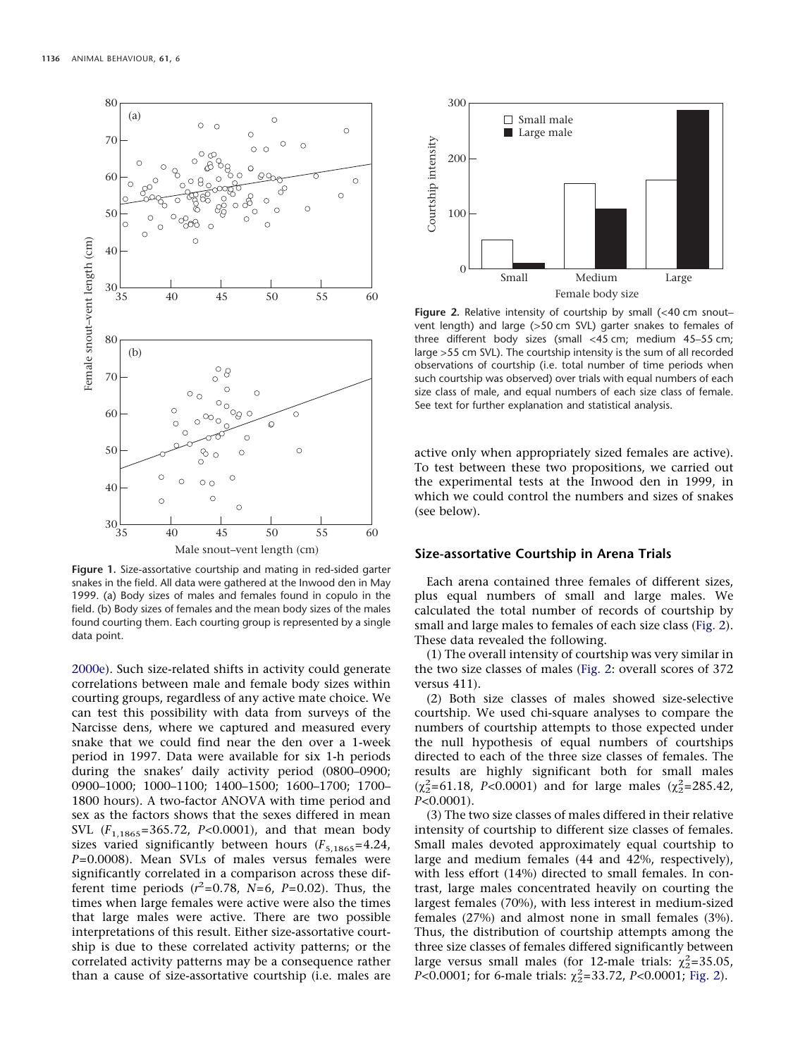<span id="page-3-0"></span>

**Figure 1.** Size-assortative courtship and mating in red-sided garter snakes in the field. All data were gathered at the Inwood den in May 1999. (a) Body sizes of males and females found in copulo in the field. (b) Body sizes of females and the mean body sizes of the males found courting them. Each courting group is represented by a single data point.

[2000e\)](#page-8-17). Such size-related shifts in activity could generate correlations between male and female body sizes within courting groups, regardless of any active mate choice. We can test this possibility with data from surveys of the Narcisse dens, where we captured and measured every snake that we could find near the den over a 1-week period in 1997. Data were available for six 1-h periods during the snakes' daily activity period (0800–0900; 0900–1000; 1000–1100; 1400–1500; 1600–1700; 1700– 1800 hours). A two-factor ANOVA with time period and sex as the factors shows that the sexes differed in mean SVL (*F*1,1865=365.72, *P<*0.0001), and that mean body sizes varied significantly between hours  $(F_{5,1865}=4.24,$ *P*=0.0008). Mean SVLs of males versus females were significantly correlated in a comparison across these different time periods  $(r^2=0.78, N=6, P=0.02)$ . Thus, the times when large females were active were also the times that large males were active. There are two possible interpretations of this result. Either size-assortative courtship is due to these correlated activity patterns; or the correlated activity patterns may be a consequence rather than a cause of size-assortative courtship (i.e. males are

<span id="page-3-1"></span>

Figure 2. Relative intensity of courtship by small (<40 cm snoutvent length) and large (>50 cm SVL) garter snakes to females of three different body sizes (small <45 cm; medium 45–55 cm; large >55 cm SVL). The courtship intensity is the sum of all recorded observations of courtship (i.e. total number of time periods when such courtship was observed) over trials with equal numbers of each size class of male, and equal numbers of each size class of female. See text for further explanation and statistical analysis.

active only when appropriately sized females are active). To test between these two propositions, we carried out the experimental tests at the Inwood den in 1999, in which we could control the numbers and sizes of snakes (see below).

# **Size-assortative Courtship in Arena Trials**

Each arena contained three females of different sizes, plus equal numbers of small and large males. We calculated the total number of records of courtship by small and large males to females of each size class [\(Fig. 2\)](#page-3-1). These data revealed the following.

(1) The overall intensity of courtship was very similar in the two size classes of males [\(Fig. 2:](#page-3-1) overall scores of 372 versus 411).

(2) Both size classes of males showed size-selective courtship. We used chi-square analyses to compare the numbers of courtship attempts to those expected under the null hypothesis of equal numbers of courtships directed to each of the three size classes of females. The results are highly significant both for small males  $(\chi^2_{2} = 61.18, P < 0.0001)$  and for large males  $(\chi^2_{2} = 285.42,$ *P<*0.0001).

(3) The two size classes of males differed in their relative intensity of courtship to different size classes of females. Small males devoted approximately equal courtship to large and medium females (44 and 42%, respectively), with less effort (14%) directed to small females. In contrast, large males concentrated heavily on courting the largest females (70%), with less interest in medium-sized females (27%) and almost none in small females (3%). Thus, the distribution of courtship attempts among the three size classes of females differed significantly between large versus small males (for 12-male trials:  $\chi^2$ =35.05, *P*<0.0001; for 6-male trials:  $\chi^2$ =33.72, *P*<0.0001; [Fig. 2\)](#page-3-1).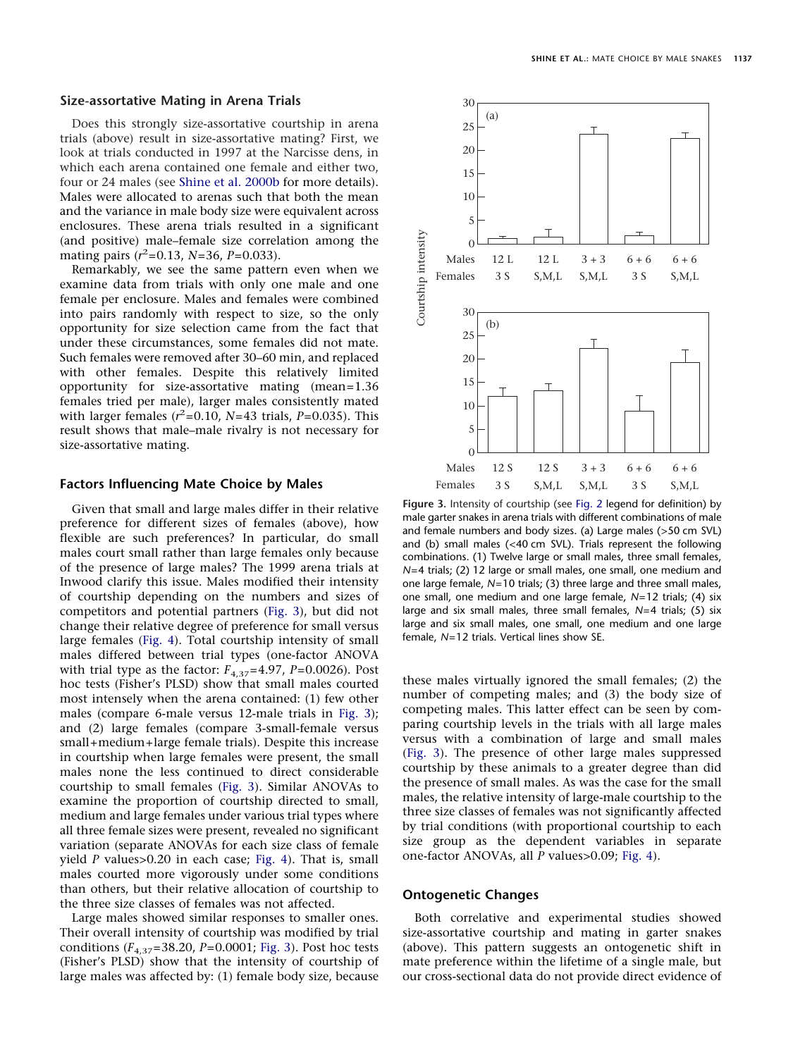#### **Size-assortative Mating in Arena Trials**

Does this strongly size-assortative courtship in arena trials (above) result in size-assortative mating? First, we look at trials conducted in 1997 at the Narcisse dens, in which each arena contained one female and either two, four or 24 males (see [Shine et al. 2000b](#page-8-13) for more details). Males were allocated to arenas such that both the mean and the variance in male body size were equivalent across enclosures. These arena trials resulted in a significant (and positive) male–female size correlation among the mating pairs (*r* 2 =0.13, *N*=36, *P*=0.033).

Remarkably, we see the same pattern even when we examine data from trials with only one male and one female per enclosure. Males and females were combined into pairs randomly with respect to size, so the only opportunity for size selection came from the fact that under these circumstances, some females did not mate. Such females were removed after 30–60 min, and replaced with other females. Despite this relatively limited opportunity for size-assortative mating (mean=1.36 females tried per male), larger males consistently mated with larger females  $(r^2=0.10, N=43 \text{ trials}, P=0.035)$ . This result shows that male–male rivalry is not necessary for size-assortative mating.

## **Factors Influencing Mate Choice by Males**

Given that small and large males differ in their relative preference for different sizes of females (above), how flexible are such preferences? In particular, do small males court small rather than large females only because of the presence of large males? The 1999 arena trials at Inwood clarify this issue. Males modified their intensity of courtship depending on the numbers and sizes of competitors and potential partners [\(Fig. 3\)](#page-4-0), but did not change their relative degree of preference for small versus large females [\(Fig. 4\)](#page-5-0). Total courtship intensity of small males differed between trial types (one-factor ANOVA with trial type as the factor:  $F_{4,37}$ =4.97, *P*=0.0026). Post hoc tests (Fisher's PLSD) show that small males courted most intensely when the arena contained: (1) few other males (compare 6-male versus 12-male trials in [Fig. 3\)](#page-4-0); and (2) large females (compare 3-small-female versus small+medium+large female trials). Despite this increase in courtship when large females were present, the small males none the less continued to direct considerable courtship to small females [\(Fig. 3\)](#page-4-0). Similar ANOVAs to examine the proportion of courtship directed to small, medium and large females under various trial types where all three female sizes were present, revealed no significant variation (separate ANOVAs for each size class of female yield *P* values>0.20 in each case; [Fig. 4\)](#page-5-0). That is, small males courted more vigorously under some conditions than others, but their relative allocation of courtship to the three size classes of females was not affected.

Large males showed similar responses to smaller ones. Their overall intensity of courtship was modified by trial conditions  $(F_{4,37} = 38.20, P = 0.0001$ ; [Fig. 3\)](#page-4-0). Post hoc tests (Fisher's PLSD) show that the intensity of courtship of large males was affected by: (1) female body size, because

<span id="page-4-0"></span>

**Figure 3.** Intensity of courtship (see [Fig. 2](#page-3-1) legend for definition) by male garter snakes in arena trials with different combinations of male and female numbers and body sizes. (a) Large males (>50 cm SVL) and (b) small males (<40 cm SVL). Trials represent the following combinations. (1) Twelve large or small males, three small females, *N*=4 trials; (2) 12 large or small males, one small, one medium and one large female, *N*=10 trials; (3) three large and three small males, one small, one medium and one large female, *N*=12 trials; (4) six large and six small males, three small females, *N*=4 trials; (5) six large and six small males, one small, one medium and one large female, *N*=12 trials. Vertical lines show SE.

these males virtually ignored the small females; (2) the number of competing males; and (3) the body size of competing males. This latter effect can be seen by comparing courtship levels in the trials with all large males versus with a combination of large and small males [\(Fig. 3\)](#page-4-0). The presence of other large males suppressed courtship by these animals to a greater degree than did the presence of small males. As was the case for the small males, the relative intensity of large-male courtship to the three size classes of females was not significantly affected by trial conditions (with proportional courtship to each size group as the dependent variables in separate one-factor ANOVAs, all *P* values>0.09; [Fig. 4\)](#page-5-0).

# **Ontogenetic Changes**

Both correlative and experimental studies showed size-assortative courtship and mating in garter snakes (above). This pattern suggests an ontogenetic shift in mate preference within the lifetime of a single male, but our cross-sectional data do not provide direct evidence of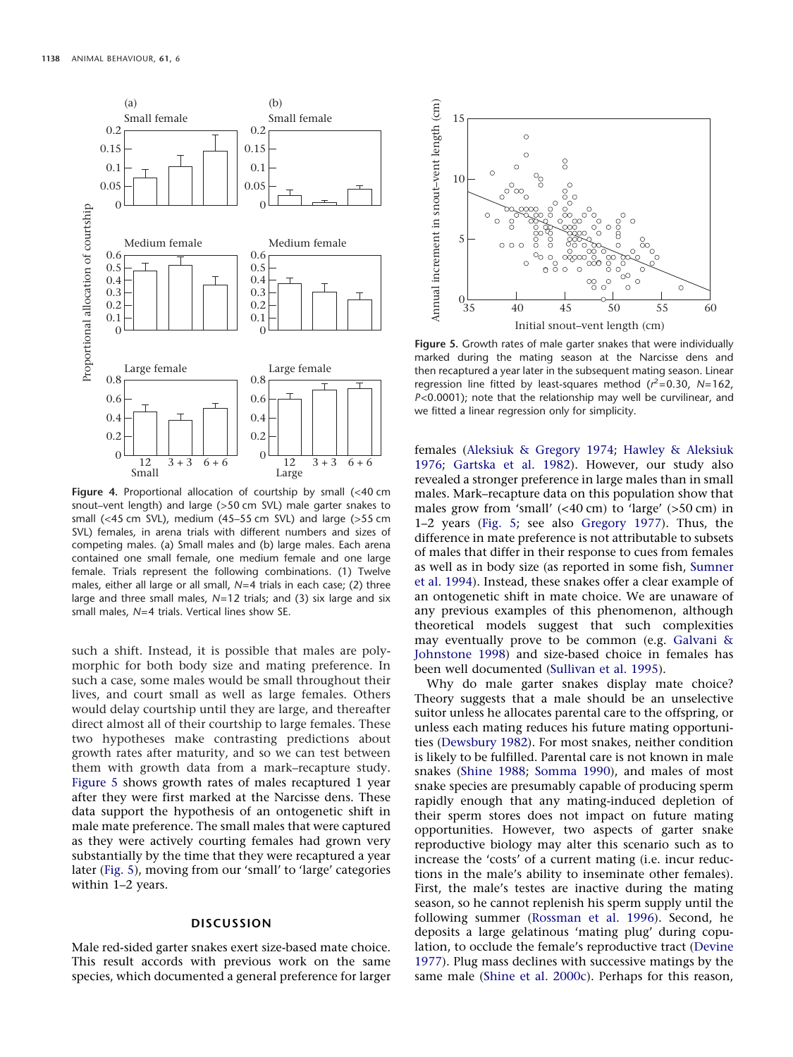<span id="page-5-0"></span>

**Figure 4.** Proportional allocation of courtship by small (<40 cm snout–vent length) and large (>50 cm SVL) male garter snakes to small (<45 cm SVL), medium (45–55 cm SVL) and large (>55 cm SVL) females, in arena trials with different numbers and sizes of competing males. (a) Small males and (b) large males. Each arena contained one small female, one medium female and one large female. Trials represent the following combinations. (1) Twelve males, either all large or all small, *N*=4 trials in each case; (2) three large and three small males, *N*=12 trials; and (3) six large and six small males, *N*=4 trials. Vertical lines show SE.

such a shift. Instead, it is possible that males are polymorphic for both body size and mating preference. In such a case, some males would be small throughout their lives, and court small as well as large females. Others would delay courtship until they are large, and thereafter direct almost all of their courtship to large females. These two hypotheses make contrasting predictions about growth rates after maturity, and so we can test between them with growth data from a mark–recapture study. [Figure 5](#page-5-1) shows growth rates of males recaptured 1 year after they were first marked at the Narcisse dens. These data support the hypothesis of an ontogenetic shift in male mate preference. The small males that were captured as they were actively courting females had grown very substantially by the time that they were recaptured a year later [\(Fig. 5\)](#page-5-1), moving from our 'small' to 'large' categories within 1–2 years.

# **DISCUSSION**

Male red-sided garter snakes exert size-based mate choice. This result accords with previous work on the same species, which documented a general preference for larger

<span id="page-5-1"></span>

**Figure 5.** Growth rates of male garter snakes that were individually marked during the mating season at the Narcisse dens and then recaptured a year later in the subsequent mating season. Linear regression line fitted by least-squares method (*r* 2=0.30, *N*=162, *P*<0.0001); note that the relationship may well be curvilinear, and we fitted a linear regression only for simplicity.

females [\(Aleksiuk & Gregory 1974;](#page-7-11) [Hawley & Aleksiuk](#page-7-12) [1976;](#page-7-12) [Gartska et al. 1982\)](#page-7-13). However, our study also revealed a stronger preference in large males than in small males. Mark–recapture data on this population show that males grow from 'small' (<40 cm) to 'large' (>50 cm) in 1–2 years [\(Fig. 5;](#page-5-1) see also [Gregory 1977\)](#page-7-15). Thus, the difference in mate preference is not attributable to subsets of males that differ in their response to cues from females as well as in body size (as reported in some fish, [Sumner](#page-8-18) [et al. 1994\)](#page-8-18). Instead, these snakes offer a clear example of an ontogenetic shift in mate choice. We are unaware of any previous examples of this phenomenon, although theoretical models suggest that such complexities may eventually prove to be common (e.g. [Galvani &](#page-7-25) [Johnstone 1998\)](#page-7-25) and size-based choice in females has been well documented [\(Sullivan et al. 1995\)](#page-8-19).

Why do male garter snakes display mate choice? Theory suggests that a male should be an unselective suitor unless he allocates parental care to the offspring, or unless each mating reduces his future mating opportunities [\(Dewsbury 1982\)](#page-7-4). For most snakes, neither condition is likely to be fulfilled. Parental care is not known in male snakes [\(Shine 1988;](#page-8-5) [Somma 1990\)](#page-8-6), and males of most snake species are presumably capable of producing sperm rapidly enough that any mating-induced depletion of their sperm stores does not impact on future mating opportunities. However, two aspects of garter snake reproductive biology may alter this scenario such as to increase the 'costs' of a current mating (i.e. incur reductions in the male's ability to inseminate other females). First, the male's testes are inactive during the mating season, so he cannot replenish his sperm supply until the following summer [\(Rossman et al. 1996\)](#page-8-8). Second, he deposits a large gelatinous 'mating plug' during copulation, to occlude the female's reproductive tract [\(Devine](#page-7-26) [1977\)](#page-7-26). Plug mass declines with successive matings by the same male [\(Shine et al. 2000c\)](#page-8-16). Perhaps for this reason,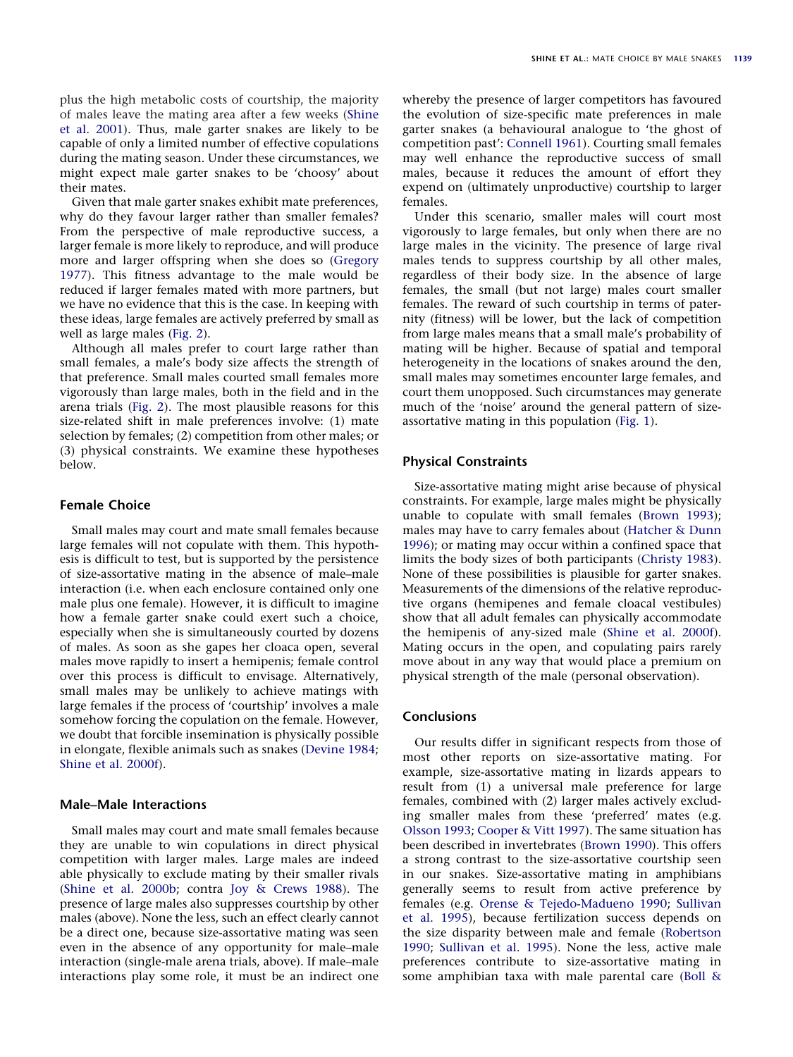plus the high metabolic costs of courtship, the majority of males leave the mating area after a few weeks [\(Shine](#page-8-11) [et al. 2001\)](#page-8-11). Thus, male garter snakes are likely to be capable of only a limited number of effective copulations during the mating season. Under these circumstances, we might expect male garter snakes to be 'choosy' about their mates.

Given that male garter snakes exhibit mate preferences, why do they favour larger rather than smaller females? From the perspective of male reproductive success, a larger female is more likely to reproduce, and will produce more and larger offspring when she does so [\(Gregory](#page-7-15) [1977\)](#page-7-15). This fitness advantage to the male would be reduced if larger females mated with more partners, but we have no evidence that this is the case. In keeping with these ideas, large females are actively preferred by small as well as large males [\(Fig. 2\)](#page-3-1).

Although all males prefer to court large rather than small females, a male's body size affects the strength of that preference. Small males courted small females more vigorously than large males, both in the field and in the arena trials [\(Fig. 2\)](#page-3-1). The most plausible reasons for this size-related shift in male preferences involve: (1) mate selection by females; (2) competition from other males; or (3) physical constraints. We examine these hypotheses below.

# **Female Choice**

Small males may court and mate small females because large females will not copulate with them. This hypothesis is difficult to test, but is supported by the persistence of size-assortative mating in the absence of male–male interaction (i.e. when each enclosure contained only one male plus one female). However, it is difficult to imagine how a female garter snake could exert such a choice, especially when she is simultaneously courted by dozens of males. As soon as she gapes her cloaca open, several males move rapidly to insert a hemipenis; female control over this process is difficult to envisage. Alternatively, small males may be unlikely to achieve matings with large females if the process of 'courtship' involves a male somehow forcing the copulation on the female. However, we doubt that forcible insemination is physically possible in elongate, flexible animals such as snakes [\(Devine 1984;](#page-7-27) [Shine et al. 2000f\)](#page-8-20).

## **Male–Male Interactions**

Small males may court and mate small females because they are unable to win copulations in direct physical competition with larger males. Large males are indeed able physically to exclude mating by their smaller rivals [\(Shine et al. 2000b;](#page-8-13) contra [Joy & Crews 1988\)](#page-7-22). The presence of large males also suppresses courtship by other males (above). None the less, such an effect clearly cannot be a direct one, because size-assortative mating was seen even in the absence of any opportunity for male–male interaction (single-male arena trials, above). If male–male interactions play some role, it must be an indirect one whereby the presence of larger competitors has favoured the evolution of size-specific mate preferences in male garter snakes (a behavioural analogue to 'the ghost of competition past': [Connell 1961\)](#page-7-28). Courting small females may well enhance the reproductive success of small males, because it reduces the amount of effort they expend on (ultimately unproductive) courtship to larger females.

Under this scenario, smaller males will court most vigorously to large females, but only when there are no large males in the vicinity. The presence of large rival males tends to suppress courtship by all other males, regardless of their body size. In the absence of large females, the small (but not large) males court smaller females. The reward of such courtship in terms of paternity (fitness) will be lower, but the lack of competition from large males means that a small male's probability of mating will be higher. Because of spatial and temporal heterogeneity in the locations of snakes around the den, small males may sometimes encounter large females, and court them unopposed. Such circumstances may generate much of the 'noise' around the general pattern of sizeassortative mating in this population [\(Fig. 1\)](#page-3-0).

# **Physical Constraints**

Size-assortative mating might arise because of physical constraints. For example, large males might be physically unable to copulate with small females [\(Brown 1993\)](#page-7-29); males may have to carry females about [\(Hatcher & Dunn](#page-7-30) [1996\)](#page-7-30); or mating may occur within a confined space that limits the body sizes of both participants [\(Christy 1983\)](#page-7-31). None of these possibilities is plausible for garter snakes. Measurements of the dimensions of the relative reproductive organs (hemipenes and female cloacal vestibules) show that all adult females can physically accommodate the hemipenis of any-sized male [\(Shine et al. 2000f\)](#page-8-20). Mating occurs in the open, and copulating pairs rarely move about in any way that would place a premium on physical strength of the male (personal observation).

# **Conclusions**

Our results differ in significant respects from those of most other reports on size-assortative mating. For example, size-assortative mating in lizards appears to result from (1) a universal male preference for large females, combined with (2) larger males actively excluding smaller males from these 'preferred' mates (e.g. [Olsson 1993;](#page-7-3) [Cooper & Vitt 1997\)](#page-7-5). The same situation has been described in invertebrates [\(Brown 1990\)](#page-7-32). This offers a strong contrast to the size-assortative courtship seen in our snakes. Size-assortative mating in amphibians generally seems to result from active preference by females (e.g. [Orense & Tejedo-Madueno 1990;](#page-7-33) [Sullivan](#page-8-19) [et al. 1995\)](#page-8-19), because fertilization success depends on the size disparity between male and female [\(Robertson](#page-8-21) [1990;](#page-8-21) [Sullivan et al. 1995\)](#page-8-19). None the less, active male preferences contribute to size-assortative mating in some amphibian taxa with male parental care [\(Boll &](#page-7-34)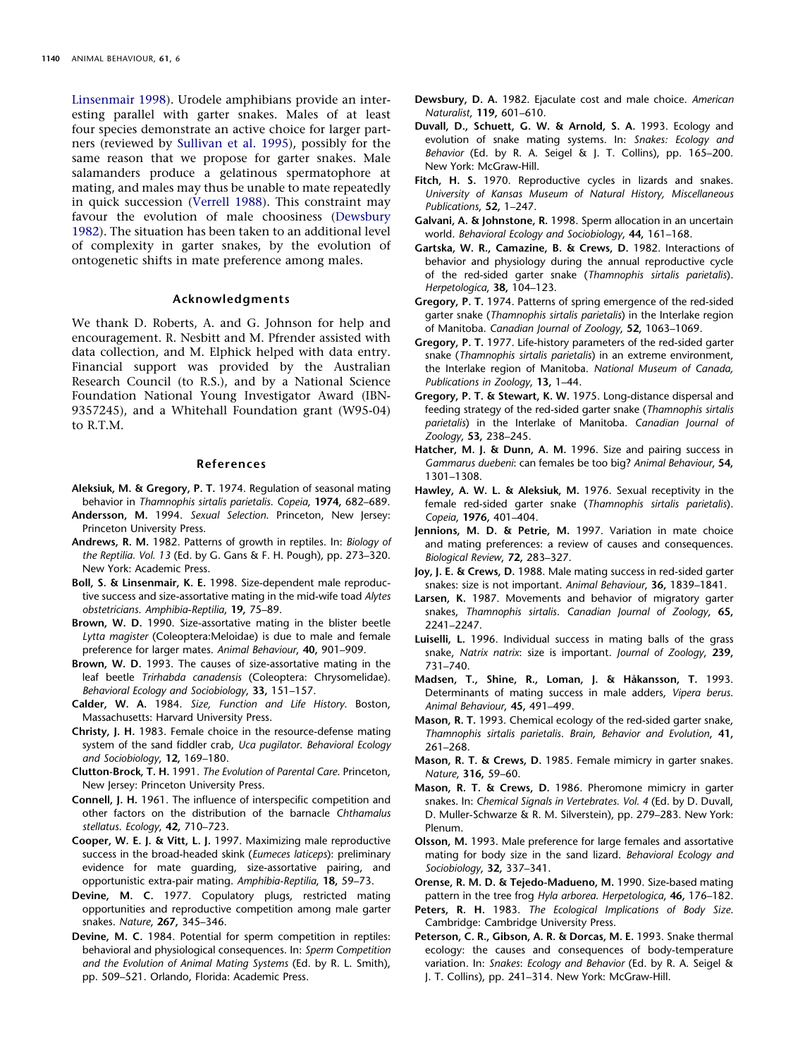[Linsenmair 1998\)](#page-7-34). Urodele amphibians provide an interesting parallel with garter snakes. Males of at least four species demonstrate an active choice for larger partners (reviewed by [Sullivan et al. 1995\)](#page-8-19), possibly for the same reason that we propose for garter snakes. Male salamanders produce a gelatinous spermatophore at mating, and males may thus be unable to mate repeatedly in quick succession [\(Verrell 1988\)](#page-8-22). This constraint may favour the evolution of male choosiness [\(Dewsbury](#page-7-4) [1982\)](#page-7-4). The situation has been taken to an additional level of complexity in garter snakes, by the evolution of ontogenetic shifts in mate preference among males.

# **Acknowledgments**

We thank D. Roberts, A. and G. Johnson for help and encouragement. R. Nesbitt and M. Pfrender assisted with data collection, and M. Elphick helped with data entry. Financial support was provided by the Australian Research Council (to R.S.), and by a National Science Foundation National Young Investigator Award (IBN-9357245), and a Whitehall Foundation grant (W95-04) to R.T.M.

#### **References**

- <span id="page-7-11"></span>**Aleksiuk, M. & Gregory, P. T.** 1974. Regulation of seasonal mating behavior in *Thamnophis sirtalis parietalis*. *Copeia*, **1974,** 682–689.
- <span id="page-7-0"></span>**Andersson, M.** 1994. *Sexual Selection*. Princeton, New Jersey: Princeton University Press.
- <span id="page-7-6"></span>**Andrews, R. M.** 1982. Patterns of growth in reptiles. In: *Biology of the Reptilia. Vol. 13* (Ed. by G. Gans & F. H. Pough), pp. 273–320. New York: Academic Press.
- <span id="page-7-34"></span>**Boll, S. & Linsenmair, K. E.** 1998. Size-dependent male reproductive success and size-assortative mating in the mid-wife toad *Alytes obstetricians*. *Amphibia*-*Reptilia*, **19,** 75–89.
- <span id="page-7-32"></span>**Brown, W. D.** 1990. Size-assortative mating in the blister beetle *Lytta magister* (Coleoptera:Meloidae) is due to male and female preference for larger mates. *Animal Behaviour*, **40,** 901–909.
- <span id="page-7-29"></span>**Brown, W. D.** 1993. The causes of size-assortative mating in the leaf beetle *Trirhabda canadensis* (Coleoptera: Chrysomelidae). *Behavioral Ecology and Sociobiology*, **33,** 151–157.
- <span id="page-7-7"></span>**Calder, W. A.** 1984. *Size, Function and Life History*. Boston, Massachusetts: Harvard University Press.
- <span id="page-7-31"></span>**Christy, J. H.** 1983. Female choice in the resource-defense mating system of the sand fiddler crab, *Uca pugilator*. *Behavioral Ecology and Sociobiology*, **12,** 169–180.
- <span id="page-7-1"></span>**Clutton-Brock, T. H.** 1991. *The Evolution of Parental Care*. Princeton, New Jersey: Princeton University Press.
- <span id="page-7-28"></span>**Connell, J. H.** 1961. The influence of interspecific competition and other factors on the distribution of the barnacle *Chthamalus stellatus*. *Ecology*, **42,** 710–723.
- <span id="page-7-5"></span>**Cooper, W. E. J. & Vitt, L. J.** 1997. Maximizing male reproductive success in the broad-headed skink (*Eumeces laticeps*): preliminary evidence for mate guarding, size-assortative pairing, and opportunistic extra-pair mating. *Amphibia-Reptilia*, **18,** 59–73.
- <span id="page-7-26"></span>**Devine, M. C.** 1977. Copulatory plugs, restricted mating opportunities and reproductive competition among male garter snakes. *Nature*, **267,** 345–346.
- <span id="page-7-27"></span>**Devine, M. C.** 1984. Potential for sperm competition in reptiles: behavioral and physiological consequences. In: *Sperm Competition and the Evolution of Animal Mating Systems* (Ed. by R. L. Smith), pp. 509–521. Orlando, Florida: Academic Press.
- <span id="page-7-4"></span>**Dewsbury, D. A.** 1982. Ejaculate cost and male choice. *American Naturalist*, **119,** 601–610.
- <span id="page-7-17"></span>**Duvall, D., Schuett, G. W. & Arnold, S. A.** 1993. Ecology and evolution of snake mating systems. In: *Snakes: Ecology and Behavior* (Ed. by R. A. Seigel & J. T. Collins), pp. 165–200. New York: McGraw-Hill.
- <span id="page-7-10"></span>**Fitch, H. S.** 1970. Reproductive cycles in lizards and snakes. *University of Kansas Museum of Natural History, Miscellaneous Publications*, **52,** 1–247.
- <span id="page-7-25"></span>**Galvani, A. & Johnstone, R.** 1998. Sperm allocation in an uncertain world. *Behavioral Ecology and Sociobiology*, **44,** 161–168.
- <span id="page-7-13"></span>**Gartska, W. R., Camazine, B. & Crews, D.** 1982. Interactions of behavior and physiology during the annual reproductive cycle of the red-sided garter snake (*Thamnophis sirtalis parietalis*). *Herpetologica*, **38,** 104–123.
- <span id="page-7-14"></span>**Gregory, P. T.** 1974. Patterns of spring emergence of the red-sided garter snake (*Thamnophis sirtalis parietalis*) in the Interlake region of Manitoba. *Canadian Journal of Zoology*, **52,** 1063–1069.
- <span id="page-7-15"></span>**Gregory, P. T.** 1977. Life-history parameters of the red-sided garter snake (*Thamnophis sirtalis parietalis*) in an extreme environment, the Interlake region of Manitoba. *National Museum of Canada, Publications in Zoology*, **13,** 1–44.
- <span id="page-7-16"></span>**Gregory, P. T. & Stewart, K. W.** 1975. Long-distance dispersal and feeding strategy of the red-sided garter snake (*Thamnophis sirtalis parietalis*) in the Interlake of Manitoba. *Canadian Journal of Zoology*, **53,** 238–245.
- <span id="page-7-30"></span>**Hatcher, M. J. & Dunn, A. M.** 1996. Size and pairing success in *Gammarus duebeni*: can females be too big? *Animal Behaviour*, **54,** 1301–1308.
- <span id="page-7-12"></span>**Hawley, A. W. L. & Aleksiuk, M.** 1976. Sexual receptivity in the female red-sided garter snake (*Thamnophis sirtalis parietalis*). *Copeia*, **1976,** 401–404.
- <span id="page-7-2"></span>**Jennions, M. D. & Petrie, M.** 1997. Variation in mate choice and mating preferences: a review of causes and consequences. *Biological Review*, **72,** 283–327.
- <span id="page-7-22"></span>**Joy, J. E. & Crews, D.** 1988. Male mating success in red-sided garter snakes: size is not important. *Animal Behaviour*, **36,** 1839–1841.
- <span id="page-7-19"></span>**Larsen, K.** 1987. Movements and behavior of migratory garter snakes, *Thamnophis sirtalis*. *Canadian Journal of Zoology*, **65,** 2241–2247.
- <span id="page-7-9"></span>**Luiselli, L.** 1996. Individual success in mating balls of the grass snake, *Natrix natrix*: size is important. *Journal of Zoology*, **239,** 731–740.
- <span id="page-7-8"></span>**Madsen, T., Shine, R., Loman, J. & Ha˚kansson, T.** 1993. Determinants of mating success in male adders, *Vipera berus*. *Animal Behaviour*, **45,** 491–499.
- <span id="page-7-18"></span>**Mason, R. T.** 1993. Chemical ecology of the red-sided garter snake, *Thamnophis sirtalis parietalis*. *Brain*, *Behavior and Evolution*, **41,** 261–268.
- <span id="page-7-20"></span>**Mason, R. T. & Crews, D.** 1985. Female mimicry in garter snakes. *Nature*, **316,** 59–60.
- <span id="page-7-21"></span>**Mason, R. T. & Crews, D.** 1986. Pheromone mimicry in garter snakes. In: *Chemical Signals in Vertebrates. Vol. 4* (Ed. by D. Duvall, D. Muller-Schwarze & R. M. Silverstein), pp. 279–283. New York: Plenum.
- <span id="page-7-3"></span>**Olsson, M.** 1993. Male preference for large females and assortative mating for body size in the sand lizard. *Behavioral Ecology and Sociobiology*, **32,** 337–341.
- <span id="page-7-33"></span>**Orense, R. M. D. & Tejedo-Madueno, M.** 1990. Size-based mating pattern in the tree frog *Hyla arborea*. *Herpetologica*, **46,** 176–182.
- <span id="page-7-23"></span>**Peters, R. H.** 1983. *The Ecological Implications of Body Size*. Cambridge: Cambridge University Press.
- <span id="page-7-24"></span>**Peterson, C. R., Gibson, A. R. & Dorcas, M. E.** 1993. Snake thermal ecology: the causes and consequences of body-temperature variation. In: *Snakes*: *Ecology and Behavior* (Ed. by R. A. Seigel & J. T. Collins), pp. 241–314. New York: McGraw-Hill.